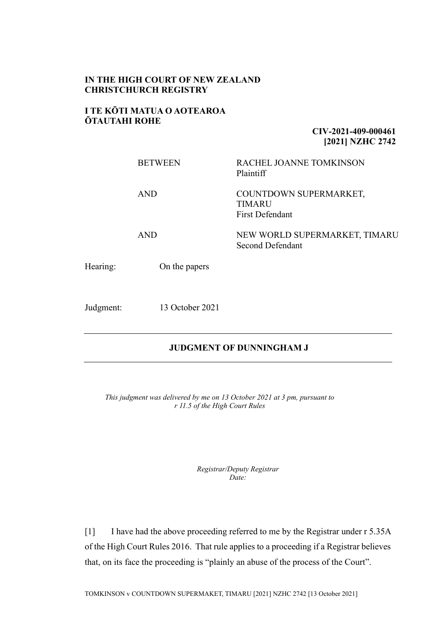## **IN THE HIGH COURT OF NEW ZEALAND CHRISTCHURCH REGISTRY**

## **I TE KŌTI MATUA O AOTEAROA ŌTAUTAHI ROHE**

**CIV-2021-409-000461 [2021] NZHC 2742**

|           | <b>BETWEEN</b>  | RACHEL JOANNE TOMKINSON<br>Plaintiff                              |
|-----------|-----------------|-------------------------------------------------------------------|
|           | <b>AND</b>      | COUNTDOWN SUPERMARKET,<br><b>TIMARU</b><br><b>First Defendant</b> |
|           | <b>AND</b>      | NEW WORLD SUPERMARKET, TIMARU<br><b>Second Defendant</b>          |
| Hearing:  | On the papers   |                                                                   |
| Judgment: | 13 October 2021 |                                                                   |

## **JUDGMENT OF DUNNINGHAM J**

*This judgment was delivered by me on 13 October 2021 at 3 pm, pursuant to r 11.5 of the High Court Rules*

> *Registrar/Deputy Registrar Date:*

[1] I have had the above proceeding referred to me by the Registrar under r 5.35A of the High Court Rules 2016. That rule applies to a proceeding if a Registrar believes that, on its face the proceeding is "plainly an abuse of the process of the Court".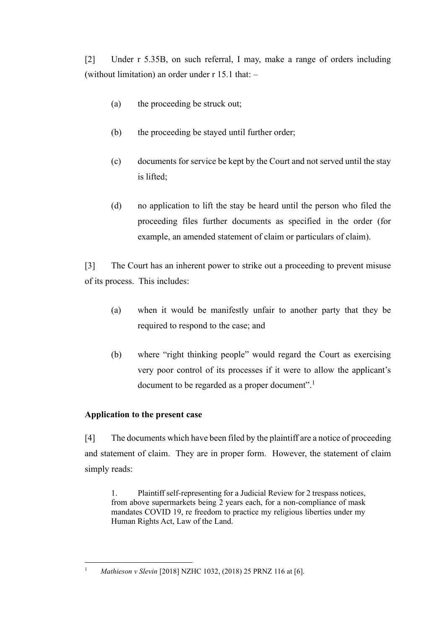[2] Under r 5.35B, on such referral, I may, make a range of orders including (without limitation) an order under r 15.1 that: –

- (a) the proceeding be struck out;
- (b) the proceeding be stayed until further order;
- (c) documents for service be kept by the Court and not served until the stay is lifted;
- (d) no application to lift the stay be heard until the person who filed the proceeding files further documents as specified in the order (for example, an amended statement of claim or particulars of claim).

[3] The Court has an inherent power to strike out a proceeding to prevent misuse of its process. This includes:

- (a) when it would be manifestly unfair to another party that they be required to respond to the case; and
- (b) where "right thinking people" would regard the Court as exercising very poor control of its processes if it were to allow the applicant's document to be regarded as a proper document".<sup>1</sup>

## **Application to the present case**

[4] The documents which have been filed by the plaintiff are a notice of proceeding and statement of claim. They are in proper form. However, the statement of claim simply reads:

1. Plaintiff self-representing for a Judicial Review for 2 trespass notices, from above supermarkets being 2 years each, for a non-compliance of mask mandates COVID 19, re freedom to practice my religious liberties under my Human Rights Act, Law of the Land.

<sup>1</sup> *Mathieson v Slevin* [2018] NZHC 1032, (2018) 25 PRNZ 116 at [6].